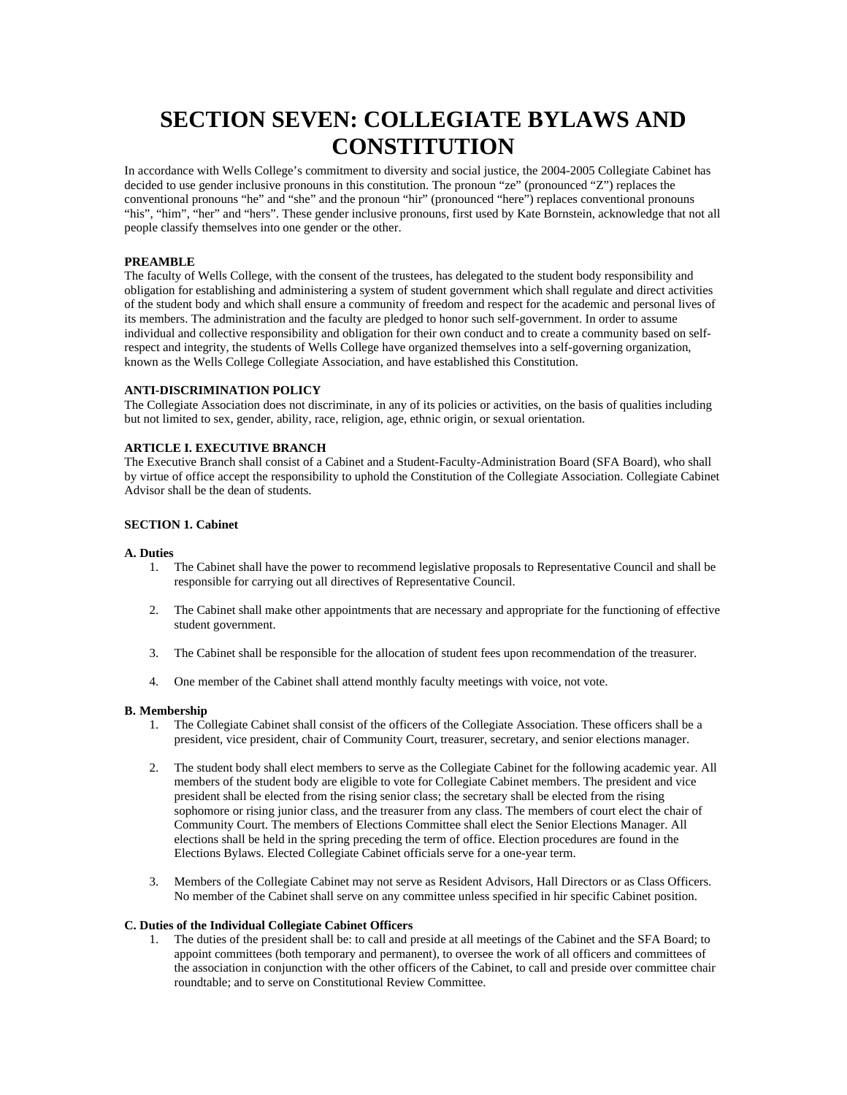# **SECTION SEVEN: COLLEGIATE BYLAWS AND CONSTITUTION**

In accordance with Wells College's commitment to diversity and social justice, the 2004-2005 Collegiate Cabinet has decided to use gender inclusive pronouns in this constitution. The pronoun "ze" (pronounced "Z") replaces the conventional pronouns "he" and "she" and the pronoun "hir" (pronounced "here") replaces conventional pronouns "his", "him", "her" and "hers". These gender inclusive pronouns, first used by Kate Bornstein, acknowledge that not all people classify themselves into one gender or the other.

# **PREAMBLE**

The faculty of Wells College, with the consent of the trustees, has delegated to the student body responsibility and obligation for establishing and administering a system of student government which shall regulate and direct activities of the student body and which shall ensure a community of freedom and respect for the academic and personal lives of its members. The administration and the faculty are pledged to honor such self-government. In order to assume individual and collective responsibility and obligation for their own conduct and to create a community based on selfrespect and integrity, the students of Wells College have organized themselves into a self-governing organization, known as the Wells College Collegiate Association, and have established this Constitution.

# **ANTI-DISCRIMINATION POLICY**

The Collegiate Association does not discriminate, in any of its policies or activities, on the basis of qualities including but not limited to sex, gender, ability, race, religion, age, ethnic origin, or sexual orientation.

# **ARTICLE I. EXECUTIVE BRANCH**

The Executive Branch shall consist of a Cabinet and a Student-Faculty-Administration Board (SFA Board), who shall by virtue of office accept the responsibility to uphold the Constitution of the Collegiate Association. Collegiate Cabinet Advisor shall be the dean of students.

# **SECTION 1. Cabinet**

#### **A. Duties**

- 1. The Cabinet shall have the power to recommend legislative proposals to Representative Council and shall be responsible for carrying out all directives of Representative Council.
- 2. The Cabinet shall make other appointments that are necessary and appropriate for the functioning of effective student government.
- 3. The Cabinet shall be responsible for the allocation of student fees upon recommendation of the treasurer.
- 4. One member of the Cabinet shall attend monthly faculty meetings with voice, not vote.

#### **B. Membership**

- 1. The Collegiate Cabinet shall consist of the officers of the Collegiate Association. These officers shall be a president, vice president, chair of Community Court, treasurer, secretary, and senior elections manager.
- 2. The student body shall elect members to serve as the Collegiate Cabinet for the following academic year. All members of the student body are eligible to vote for Collegiate Cabinet members. The president and vice president shall be elected from the rising senior class; the secretary shall be elected from the rising sophomore or rising junior class, and the treasurer from any class. The members of court elect the chair of Community Court. The members of Elections Committee shall elect the Senior Elections Manager. All elections shall be held in the spring preceding the term of office. Election procedures are found in the Elections Bylaws. Elected Collegiate Cabinet officials serve for a one-year term.
- 3. Members of the Collegiate Cabinet may not serve as Resident Advisors, Hall Directors or as Class Officers. No member of the Cabinet shall serve on any committee unless specified in hir specific Cabinet position.

# **C. Duties of the Individual Collegiate Cabinet Officers**

1. The duties of the president shall be: to call and preside at all meetings of the Cabinet and the SFA Board; to appoint committees (both temporary and permanent), to oversee the work of all officers and committees of the association in conjunction with the other officers of the Cabinet, to call and preside over committee chair roundtable; and to serve on Constitutional Review Committee.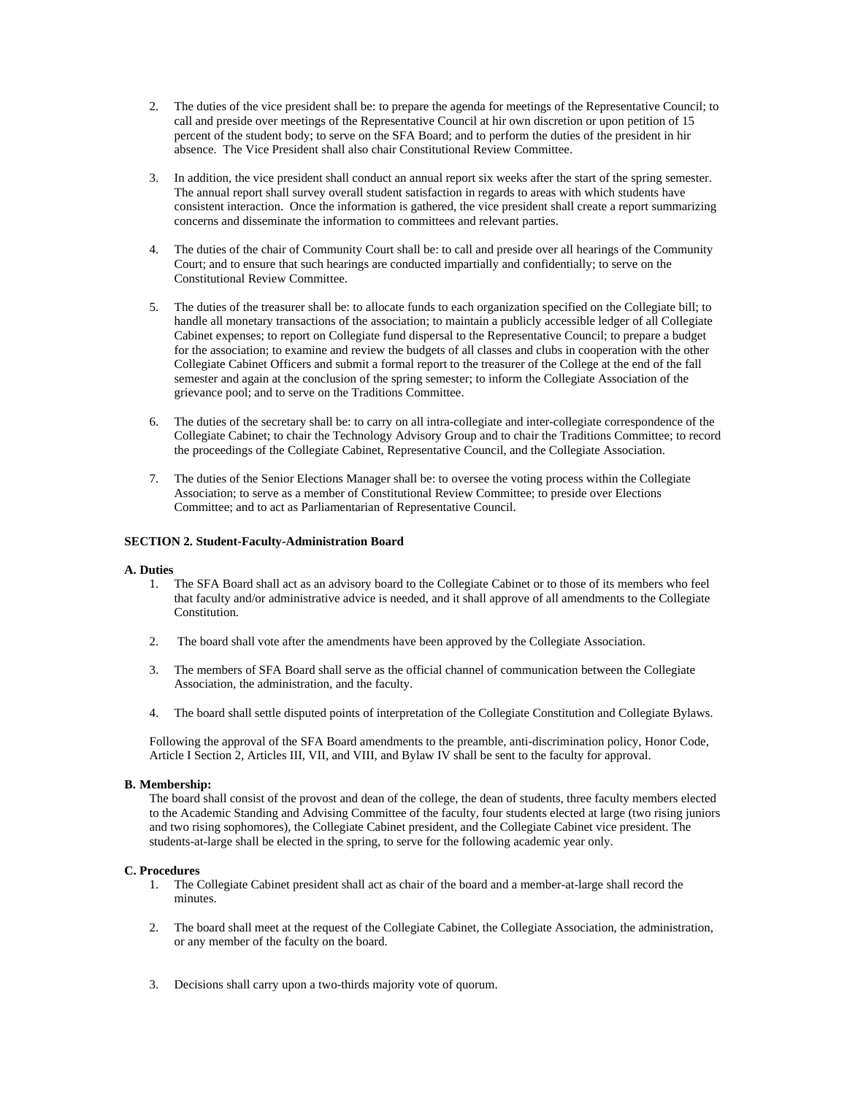- 2. The duties of the vice president shall be: to prepare the agenda for meetings of the Representative Council; to call and preside over meetings of the Representative Council at hir own discretion or upon petition of 15 percent of the student body; to serve on the SFA Board; and to perform the duties of the president in hir absence. The Vice President shall also chair Constitutional Review Committee.
- 3. In addition, the vice president shall conduct an annual report six weeks after the start of the spring semester. The annual report shall survey overall student satisfaction in regards to areas with which students have consistent interaction. Once the information is gathered, the vice president shall create a report summarizing concerns and disseminate the information to committees and relevant parties.
- 4. The duties of the chair of Community Court shall be: to call and preside over all hearings of the Community Court; and to ensure that such hearings are conducted impartially and confidentially; to serve on the Constitutional Review Committee.
- 5. The duties of the treasurer shall be: to allocate funds to each organization specified on the Collegiate bill; to handle all monetary transactions of the association; to maintain a publicly accessible ledger of all Collegiate Cabinet expenses; to report on Collegiate fund dispersal to the Representative Council; to prepare a budget for the association; to examine and review the budgets of all classes and clubs in cooperation with the other Collegiate Cabinet Officers and submit a formal report to the treasurer of the College at the end of the fall semester and again at the conclusion of the spring semester; to inform the Collegiate Association of the grievance pool; and to serve on the Traditions Committee.
- 6. The duties of the secretary shall be: to carry on all intra-collegiate and inter-collegiate correspondence of the Collegiate Cabinet; to chair the Technology Advisory Group and to chair the Traditions Committee; to record the proceedings of the Collegiate Cabinet, Representative Council, and the Collegiate Association.
- 7. The duties of the Senior Elections Manager shall be: to oversee the voting process within the Collegiate Association; to serve as a member of Constitutional Review Committee; to preside over Elections Committee; and to act as Parliamentarian of Representative Council.

# **SECTION 2. Student-Faculty-Administration Board**

# **A. Duties**

- 1. The SFA Board shall act as an advisory board to the Collegiate Cabinet or to those of its members who feel that faculty and/or administrative advice is needed, and it shall approve of all amendments to the Collegiate Constitution.
- 2. The board shall vote after the amendments have been approved by the Collegiate Association.
- 3. The members of SFA Board shall serve as the official channel of communication between the Collegiate Association, the administration, and the faculty.
- 4. The board shall settle disputed points of interpretation of the Collegiate Constitution and Collegiate Bylaws.

Following the approval of the SFA Board amendments to the preamble, anti-discrimination policy, Honor Code, Article I Section 2, Articles III, VII, and VIII, and Bylaw IV shall be sent to the faculty for approval.

# **B. Membership:**

The board shall consist of the provost and dean of the college, the dean of students, three faculty members elected to the Academic Standing and Advising Committee of the faculty, four students elected at large (two rising juniors and two rising sophomores), the Collegiate Cabinet president, and the Collegiate Cabinet vice president. The students-at-large shall be elected in the spring, to serve for the following academic year only.

# **C. Procedures**

- 1. The Collegiate Cabinet president shall act as chair of the board and a member-at-large shall record the minutes.
- 2. The board shall meet at the request of the Collegiate Cabinet, the Collegiate Association, the administration, or any member of the faculty on the board.
- 3. Decisions shall carry upon a two-thirds majority vote of quorum.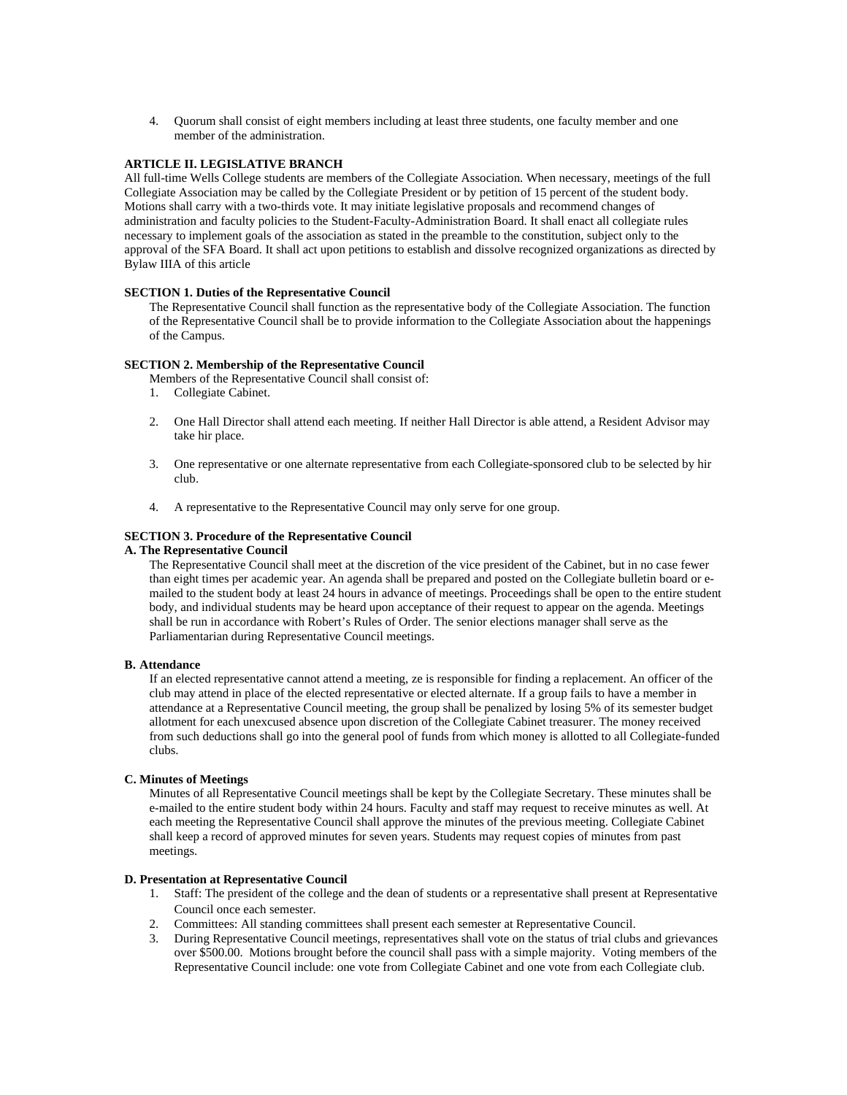4. Quorum shall consist of eight members including at least three students, one faculty member and one member of the administration.

# **ARTICLE II. LEGISLATIVE BRANCH**

All full-time Wells College students are members of the Collegiate Association. When necessary, meetings of the full Collegiate Association may be called by the Collegiate President or by petition of 15 percent of the student body. Motions shall carry with a two-thirds vote. It may initiate legislative proposals and recommend changes of administration and faculty policies to the Student-Faculty-Administration Board. It shall enact all collegiate rules necessary to implement goals of the association as stated in the preamble to the constitution, subject only to the approval of the SFA Board. It shall act upon petitions to establish and dissolve recognized organizations as directed by Bylaw IIIA of this article

# **SECTION 1. Duties of the Representative Council**

The Representative Council shall function as the representative body of the Collegiate Association. The function of the Representative Council shall be to provide information to the Collegiate Association about the happenings of the Campus.

# **SECTION 2. Membership of the Representative Council**

Members of the Representative Council shall consist of:

- 1. Collegiate Cabinet.
- 2. One Hall Director shall attend each meeting. If neither Hall Director is able attend, a Resident Advisor may take hir place.
- 3. One representative or one alternate representative from each Collegiate-sponsored club to be selected by hir club.
- 4. A representative to the Representative Council may only serve for one group.

# **SECTION 3. Procedure of the Representative Council**

# **A. The Representative Council**

The Representative Council shall meet at the discretion of the vice president of the Cabinet, but in no case fewer than eight times per academic year. An agenda shall be prepared and posted on the Collegiate bulletin board or emailed to the student body at least 24 hours in advance of meetings. Proceedings shall be open to the entire student body, and individual students may be heard upon acceptance of their request to appear on the agenda. Meetings shall be run in accordance with Robert's Rules of Order. The senior elections manager shall serve as the Parliamentarian during Representative Council meetings.

# **B. Attendance**

If an elected representative cannot attend a meeting, ze is responsible for finding a replacement. An officer of the club may attend in place of the elected representative or elected alternate. If a group fails to have a member in attendance at a Representative Council meeting, the group shall be penalized by losing 5% of its semester budget allotment for each unexcused absence upon discretion of the Collegiate Cabinet treasurer. The money received from such deductions shall go into the general pool of funds from which money is allotted to all Collegiate-funded clubs.

# **C. Minutes of Meetings**

Minutes of all Representative Council meetings shall be kept by the Collegiate Secretary. These minutes shall be e-mailed to the entire student body within 24 hours. Faculty and staff may request to receive minutes as well. At each meeting the Representative Council shall approve the minutes of the previous meeting. Collegiate Cabinet shall keep a record of approved minutes for seven years. Students may request copies of minutes from past meetings.

# **D. Presentation at Representative Council**

- 1. Staff: The president of the college and the dean of students or a representative shall present at Representative Council once each semester.
- 2. Committees: All standing committees shall present each semester at Representative Council.
- 3. During Representative Council meetings, representatives shall vote on the status of trial clubs and grievances over \$500.00. Motions brought before the council shall pass with a simple majority. Voting members of the Representative Council include: one vote from Collegiate Cabinet and one vote from each Collegiate club.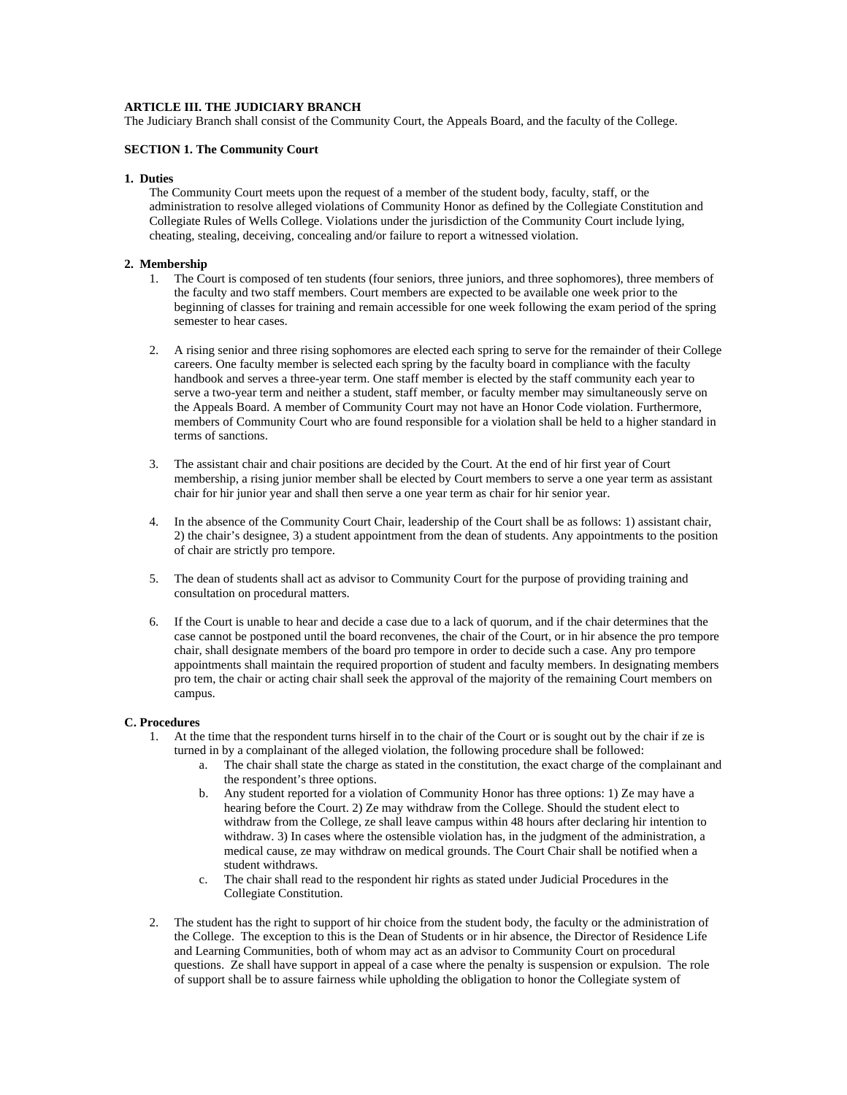# **ARTICLE III. THE JUDICIARY BRANCH**

The Judiciary Branch shall consist of the Community Court, the Appeals Board, and the faculty of the College.

## **SECTION 1. The Community Court**

#### **1. Duties**

The Community Court meets upon the request of a member of the student body, faculty, staff, or the administration to resolve alleged violations of Community Honor as defined by the Collegiate Constitution and Collegiate Rules of Wells College. Violations under the jurisdiction of the Community Court include lying, cheating, stealing, deceiving, concealing and/or failure to report a witnessed violation.

## **2. Membership**

- 1. The Court is composed of ten students (four seniors, three juniors, and three sophomores), three members of the faculty and two staff members. Court members are expected to be available one week prior to the beginning of classes for training and remain accessible for one week following the exam period of the spring semester to hear cases.
- 2. A rising senior and three rising sophomores are elected each spring to serve for the remainder of their College careers. One faculty member is selected each spring by the faculty board in compliance with the faculty handbook and serves a three-year term. One staff member is elected by the staff community each year to serve a two-year term and neither a student, staff member, or faculty member may simultaneously serve on the Appeals Board. A member of Community Court may not have an Honor Code violation. Furthermore, members of Community Court who are found responsible for a violation shall be held to a higher standard in terms of sanctions.
- 3. The assistant chair and chair positions are decided by the Court. At the end of hir first year of Court membership, a rising junior member shall be elected by Court members to serve a one year term as assistant chair for hir junior year and shall then serve a one year term as chair for hir senior year.
- 4. In the absence of the Community Court Chair, leadership of the Court shall be as follows: 1) assistant chair, 2) the chair's designee, 3) a student appointment from the dean of students. Any appointments to the position of chair are strictly pro tempore.
- 5. The dean of students shall act as advisor to Community Court for the purpose of providing training and consultation on procedural matters.
- 6. If the Court is unable to hear and decide a case due to a lack of quorum, and if the chair determines that the case cannot be postponed until the board reconvenes, the chair of the Court, or in hir absence the pro tempore chair, shall designate members of the board pro tempore in order to decide such a case. Any pro tempore appointments shall maintain the required proportion of student and faculty members. In designating members pro tem, the chair or acting chair shall seek the approval of the majority of the remaining Court members on campus.

#### **C. Procedures**

- 1. At the time that the respondent turns hirself in to the chair of the Court or is sought out by the chair if ze is turned in by a complainant of the alleged violation, the following procedure shall be followed:
	- a. The chair shall state the charge as stated in the constitution, the exact charge of the complainant and the respondent's three options.
	- b. Any student reported for a violation of Community Honor has three options: 1) Ze may have a hearing before the Court. 2) Ze may withdraw from the College. Should the student elect to withdraw from the College, ze shall leave campus within 48 hours after declaring hir intention to withdraw. 3) In cases where the ostensible violation has, in the judgment of the administration, a medical cause, ze may withdraw on medical grounds. The Court Chair shall be notified when a student withdraws.
	- c. The chair shall read to the respondent hir rights as stated under Judicial Procedures in the Collegiate Constitution.
- 2. The student has the right to support of hir choice from the student body, the faculty or the administration of the College. The exception to this is the Dean of Students or in hir absence, the Director of Residence Life and Learning Communities, both of whom may act as an advisor to Community Court on procedural questions. Ze shall have support in appeal of a case where the penalty is suspension or expulsion. The role of support shall be to assure fairness while upholding the obligation to honor the Collegiate system of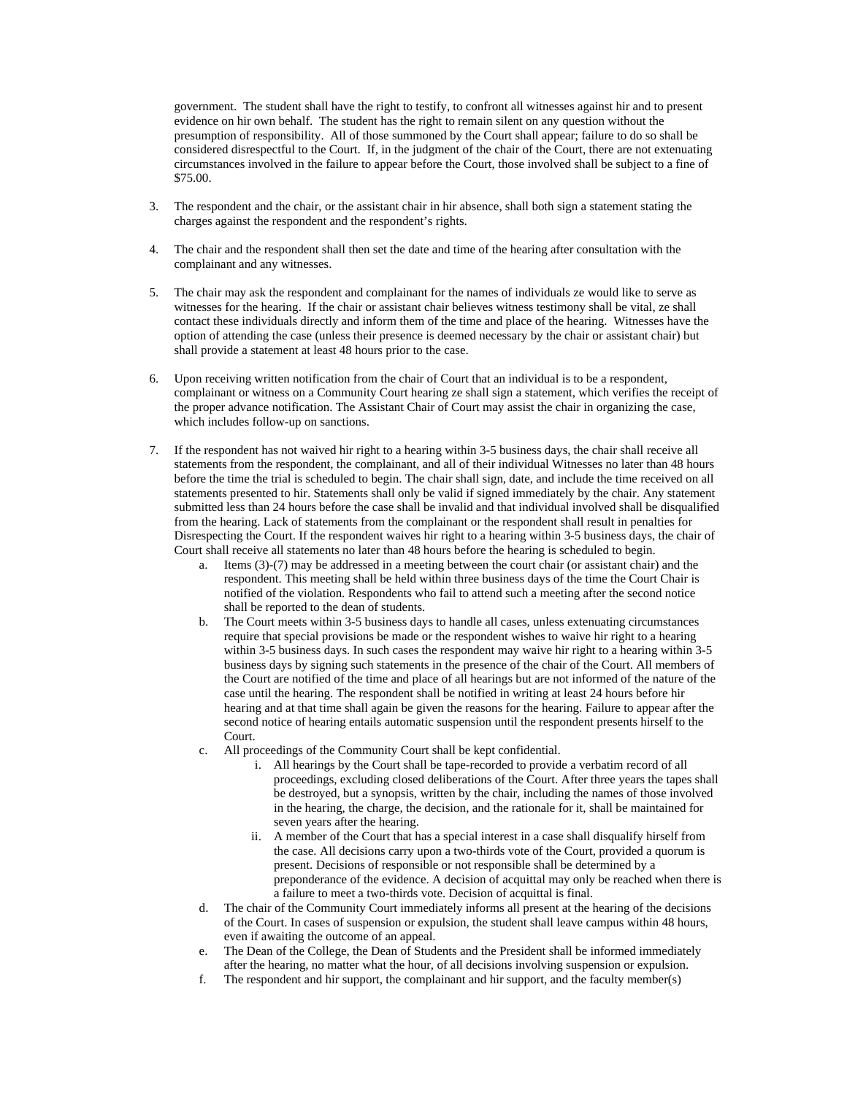government. The student shall have the right to testify, to confront all witnesses against hir and to present evidence on hir own behalf. The student has the right to remain silent on any question without the presumption of responsibility. All of those summoned by the Court shall appear; failure to do so shall be considered disrespectful to the Court. If, in the judgment of the chair of the Court, there are not extenuating circumstances involved in the failure to appear before the Court, those involved shall be subject to a fine of \$75.00.

- 3. The respondent and the chair, or the assistant chair in hir absence, shall both sign a statement stating the charges against the respondent and the respondent's rights.
- 4. The chair and the respondent shall then set the date and time of the hearing after consultation with the complainant and any witnesses.
- 5. The chair may ask the respondent and complainant for the names of individuals ze would like to serve as witnesses for the hearing. If the chair or assistant chair believes witness testimony shall be vital, ze shall contact these individuals directly and inform them of the time and place of the hearing. Witnesses have the option of attending the case (unless their presence is deemed necessary by the chair or assistant chair) but shall provide a statement at least 48 hours prior to the case.
- 6. Upon receiving written notification from the chair of Court that an individual is to be a respondent, complainant or witness on a Community Court hearing ze shall sign a statement, which verifies the receipt of the proper advance notification. The Assistant Chair of Court may assist the chair in organizing the case, which includes follow-up on sanctions.
- 7. If the respondent has not waived hir right to a hearing within 3-5 business days, the chair shall receive all statements from the respondent, the complainant, and all of their individual Witnesses no later than 48 hours before the time the trial is scheduled to begin. The chair shall sign, date, and include the time received on all statements presented to hir. Statements shall only be valid if signed immediately by the chair. Any statement submitted less than 24 hours before the case shall be invalid and that individual involved shall be disqualified from the hearing. Lack of statements from the complainant or the respondent shall result in penalties for Disrespecting the Court. If the respondent waives hir right to a hearing within 3-5 business days, the chair of Court shall receive all statements no later than 48 hours before the hearing is scheduled to begin.
	- a. Items (3)-(7) may be addressed in a meeting between the court chair (or assistant chair) and the respondent. This meeting shall be held within three business days of the time the Court Chair is notified of the violation. Respondents who fail to attend such a meeting after the second notice shall be reported to the dean of students.
	- b. The Court meets within 3-5 business days to handle all cases, unless extenuating circumstances require that special provisions be made or the respondent wishes to waive hir right to a hearing within 3-5 business days. In such cases the respondent may waive hir right to a hearing within 3-5 business days by signing such statements in the presence of the chair of the Court. All members of the Court are notified of the time and place of all hearings but are not informed of the nature of the case until the hearing. The respondent shall be notified in writing at least 24 hours before hir hearing and at that time shall again be given the reasons for the hearing. Failure to appear after the second notice of hearing entails automatic suspension until the respondent presents hirself to the Court.
	- c. All proceedings of the Community Court shall be kept confidential.
		- i. All hearings by the Court shall be tape-recorded to provide a verbatim record of all proceedings, excluding closed deliberations of the Court. After three years the tapes shall be destroyed, but a synopsis, written by the chair, including the names of those involved in the hearing, the charge, the decision, and the rationale for it, shall be maintained for seven years after the hearing.
		- ii. A member of the Court that has a special interest in a case shall disqualify hirself from the case. All decisions carry upon a two-thirds vote of the Court, provided a quorum is present. Decisions of responsible or not responsible shall be determined by a preponderance of the evidence. A decision of acquittal may only be reached when there is a failure to meet a two-thirds vote. Decision of acquittal is final.
	- d. The chair of the Community Court immediately informs all present at the hearing of the decisions of the Court. In cases of suspension or expulsion, the student shall leave campus within 48 hours, even if awaiting the outcome of an appeal.
	- e. The Dean of the College, the Dean of Students and the President shall be informed immediately after the hearing, no matter what the hour, of all decisions involving suspension or expulsion.
	- f. The respondent and hir support, the complainant and hir support, and the faculty member(s)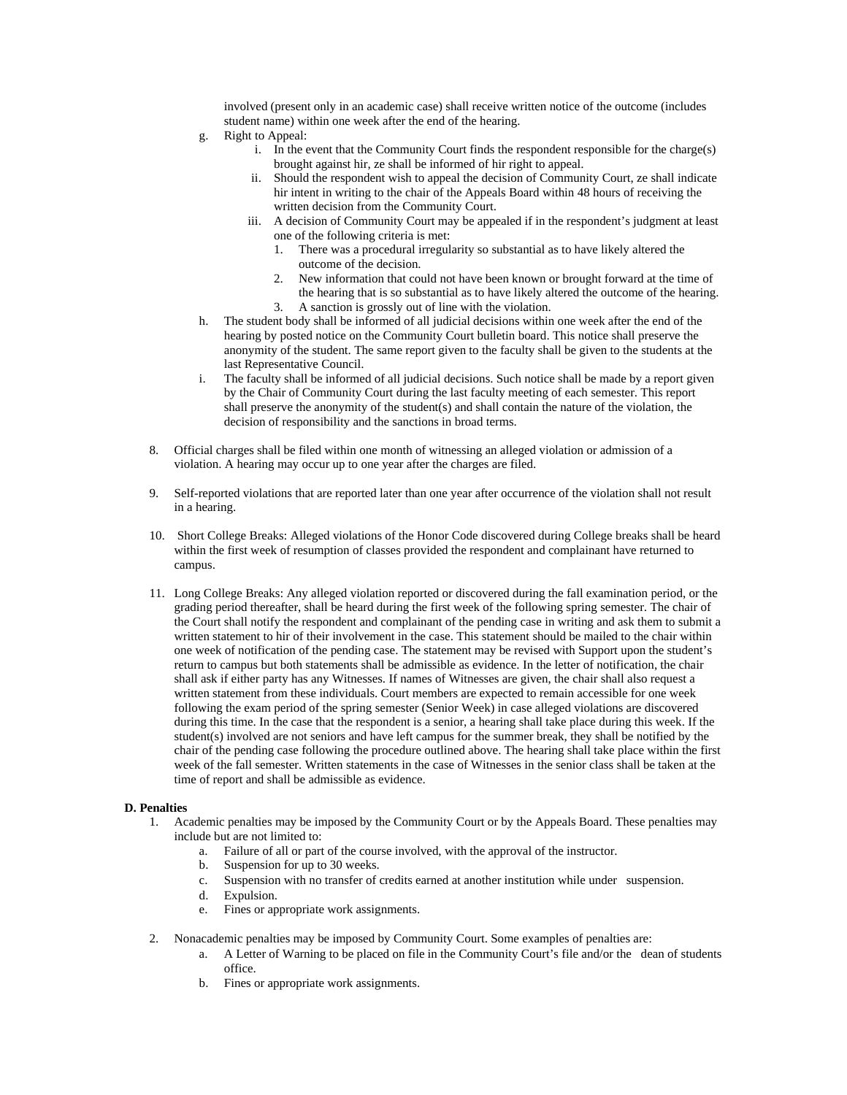involved (present only in an academic case) shall receive written notice of the outcome (includes student name) within one week after the end of the hearing.

- g. Right to Appeal:
	- i. In the event that the Community Court finds the respondent responsible for the charge(s) brought against hir, ze shall be informed of hir right to appeal.
	- ii. Should the respondent wish to appeal the decision of Community Court, ze shall indicate hir intent in writing to the chair of the Appeals Board within 48 hours of receiving the written decision from the Community Court.
	- iii. A decision of Community Court may be appealed if in the respondent's judgment at least one of the following criteria is met:
		- 1. There was a procedural irregularity so substantial as to have likely altered the outcome of the decision.
		- 2. New information that could not have been known or brought forward at the time of the hearing that is so substantial as to have likely altered the outcome of the hearing.
		- 3. A sanction is grossly out of line with the violation.
- h. The student body shall be informed of all judicial decisions within one week after the end of the hearing by posted notice on the Community Court bulletin board. This notice shall preserve the anonymity of the student. The same report given to the faculty shall be given to the students at the last Representative Council.
- i. The faculty shall be informed of all judicial decisions. Such notice shall be made by a report given by the Chair of Community Court during the last faculty meeting of each semester. This report shall preserve the anonymity of the student(s) and shall contain the nature of the violation, the decision of responsibility and the sanctions in broad terms.
- 8. Official charges shall be filed within one month of witnessing an alleged violation or admission of a violation. A hearing may occur up to one year after the charges are filed.
- 9. Self-reported violations that are reported later than one year after occurrence of the violation shall not result in a hearing.
- 10. Short College Breaks: Alleged violations of the Honor Code discovered during College breaks shall be heard within the first week of resumption of classes provided the respondent and complainant have returned to campus.
- 11. Long College Breaks: Any alleged violation reported or discovered during the fall examination period, or the grading period thereafter, shall be heard during the first week of the following spring semester. The chair of the Court shall notify the respondent and complainant of the pending case in writing and ask them to submit a written statement to hir of their involvement in the case. This statement should be mailed to the chair within one week of notification of the pending case. The statement may be revised with Support upon the student's return to campus but both statements shall be admissible as evidence. In the letter of notification, the chair shall ask if either party has any Witnesses. If names of Witnesses are given, the chair shall also request a written statement from these individuals. Court members are expected to remain accessible for one week following the exam period of the spring semester (Senior Week) in case alleged violations are discovered during this time. In the case that the respondent is a senior, a hearing shall take place during this week. If the student(s) involved are not seniors and have left campus for the summer break, they shall be notified by the chair of the pending case following the procedure outlined above. The hearing shall take place within the first week of the fall semester. Written statements in the case of Witnesses in the senior class shall be taken at the time of report and shall be admissible as evidence.

# **D. Penalties**

- 1. Academic penalties may be imposed by the Community Court or by the Appeals Board. These penalties may include but are not limited to:
	- a. Failure of all or part of the course involved, with the approval of the instructor.
	- b. Suspension for up to 30 weeks.
	- c. Suspension with no transfer of credits earned at another institution while under suspension.
	- d. Expulsion.
	- e. Fines or appropriate work assignments.
- 2. Nonacademic penalties may be imposed by Community Court. Some examples of penalties are:
	- a. A Letter of Warning to be placed on file in the Community Court's file and/or the dean of students office.
	- b. Fines or appropriate work assignments.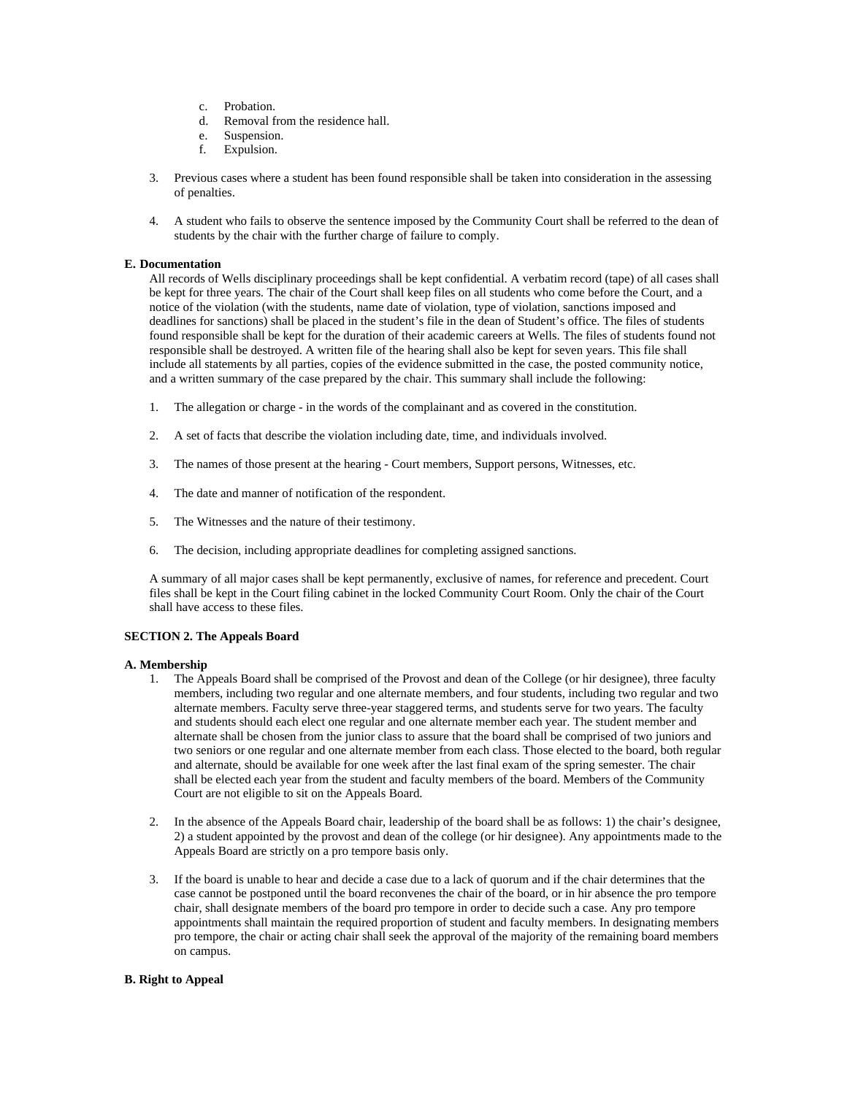- c. Probation.
- d. Removal from the residence hall.
- e. Suspension.
- f. Expulsion.
- 3. Previous cases where a student has been found responsible shall be taken into consideration in the assessing of penalties.
- 4. A student who fails to observe the sentence imposed by the Community Court shall be referred to the dean of students by the chair with the further charge of failure to comply.

# **E. Documentation**

All records of Wells disciplinary proceedings shall be kept confidential. A verbatim record (tape) of all cases shall be kept for three years. The chair of the Court shall keep files on all students who come before the Court, and a notice of the violation (with the students, name date of violation, type of violation, sanctions imposed and deadlines for sanctions) shall be placed in the student's file in the dean of Student's office. The files of students found responsible shall be kept for the duration of their academic careers at Wells. The files of students found not responsible shall be destroyed. A written file of the hearing shall also be kept for seven years. This file shall include all statements by all parties, copies of the evidence submitted in the case, the posted community notice, and a written summary of the case prepared by the chair. This summary shall include the following:

- 1. The allegation or charge in the words of the complainant and as covered in the constitution.
- 2. A set of facts that describe the violation including date, time, and individuals involved.
- 3. The names of those present at the hearing Court members, Support persons, Witnesses, etc.
- 4. The date and manner of notification of the respondent.
- 5. The Witnesses and the nature of their testimony.
- 6. The decision, including appropriate deadlines for completing assigned sanctions.

A summary of all major cases shall be kept permanently, exclusive of names, for reference and precedent. Court files shall be kept in the Court filing cabinet in the locked Community Court Room. Only the chair of the Court shall have access to these files.

# **SECTION 2. The Appeals Board**

# **A. Membership**

- 1. The Appeals Board shall be comprised of the Provost and dean of the College (or hir designee), three faculty members, including two regular and one alternate members, and four students, including two regular and two alternate members. Faculty serve three-year staggered terms, and students serve for two years. The faculty and students should each elect one regular and one alternate member each year. The student member and alternate shall be chosen from the junior class to assure that the board shall be comprised of two juniors and two seniors or one regular and one alternate member from each class. Those elected to the board, both regular and alternate, should be available for one week after the last final exam of the spring semester. The chair shall be elected each year from the student and faculty members of the board. Members of the Community Court are not eligible to sit on the Appeals Board.
- 2. In the absence of the Appeals Board chair, leadership of the board shall be as follows: 1) the chair's designee, 2) a student appointed by the provost and dean of the college (or hir designee). Any appointments made to the Appeals Board are strictly on a pro tempore basis only.
- 3. If the board is unable to hear and decide a case due to a lack of quorum and if the chair determines that the case cannot be postponed until the board reconvenes the chair of the board, or in hir absence the pro tempore chair, shall designate members of the board pro tempore in order to decide such a case. Any pro tempore appointments shall maintain the required proportion of student and faculty members. In designating members pro tempore, the chair or acting chair shall seek the approval of the majority of the remaining board members on campus.

# **B. Right to Appeal**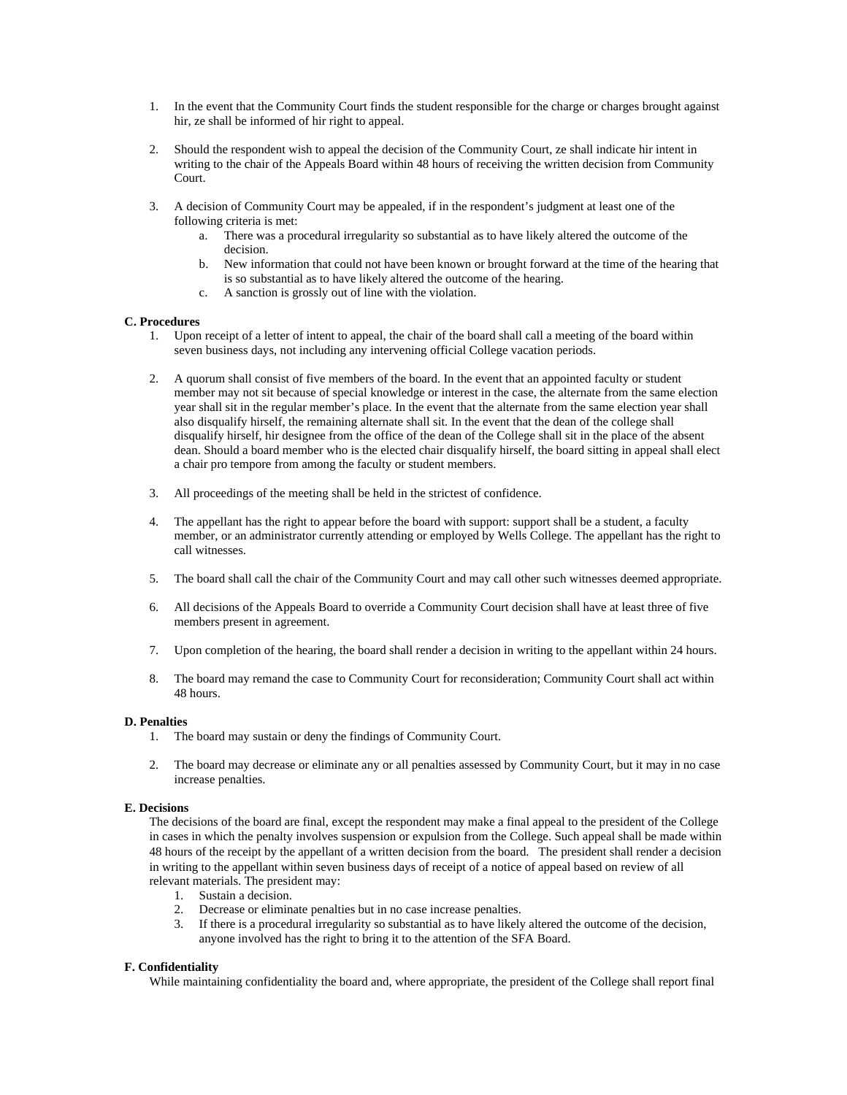- 1. In the event that the Community Court finds the student responsible for the charge or charges brought against hir, ze shall be informed of hir right to appeal.
- 2. Should the respondent wish to appeal the decision of the Community Court, ze shall indicate hir intent in writing to the chair of the Appeals Board within 48 hours of receiving the written decision from Community Court.
- 3. A decision of Community Court may be appealed, if in the respondent's judgment at least one of the following criteria is met:
	- a. There was a procedural irregularity so substantial as to have likely altered the outcome of the decision.
	- b. New information that could not have been known or brought forward at the time of the hearing that is so substantial as to have likely altered the outcome of the hearing.
	- c. A sanction is grossly out of line with the violation.

# **C. Procedures**

- 1. Upon receipt of a letter of intent to appeal, the chair of the board shall call a meeting of the board within seven business days, not including any intervening official College vacation periods.
- 2. A quorum shall consist of five members of the board. In the event that an appointed faculty or student member may not sit because of special knowledge or interest in the case, the alternate from the same election year shall sit in the regular member's place. In the event that the alternate from the same election year shall also disqualify hirself, the remaining alternate shall sit. In the event that the dean of the college shall disqualify hirself, hir designee from the office of the dean of the College shall sit in the place of the absent dean. Should a board member who is the elected chair disqualify hirself, the board sitting in appeal shall elect a chair pro tempore from among the faculty or student members.
- 3. All proceedings of the meeting shall be held in the strictest of confidence.
- 4. The appellant has the right to appear before the board with support: support shall be a student, a faculty member, or an administrator currently attending or employed by Wells College. The appellant has the right to call witnesses.
- 5. The board shall call the chair of the Community Court and may call other such witnesses deemed appropriate.
- 6. All decisions of the Appeals Board to override a Community Court decision shall have at least three of five members present in agreement.
- 7. Upon completion of the hearing, the board shall render a decision in writing to the appellant within 24 hours.
- 8. The board may remand the case to Community Court for reconsideration; Community Court shall act within 48 hours.

# **D. Penalties**

- 1. The board may sustain or deny the findings of Community Court.
- 2. The board may decrease or eliminate any or all penalties assessed by Community Court, but it may in no case increase penalties.

# **E. Decisions**

The decisions of the board are final, except the respondent may make a final appeal to the president of the College in cases in which the penalty involves suspension or expulsion from the College. Such appeal shall be made within 48 hours of the receipt by the appellant of a written decision from the board. The president shall render a decision in writing to the appellant within seven business days of receipt of a notice of appeal based on review of all relevant materials. The president may:

- 1. Sustain a decision.
- 2. Decrease or eliminate penalties but in no case increase penalties.
- 3. If there is a procedural irregularity so substantial as to have likely altered the outcome of the decision, anyone involved has the right to bring it to the attention of the SFA Board.

## **F. Confidentiality**

While maintaining confidentiality the board and, where appropriate, the president of the College shall report final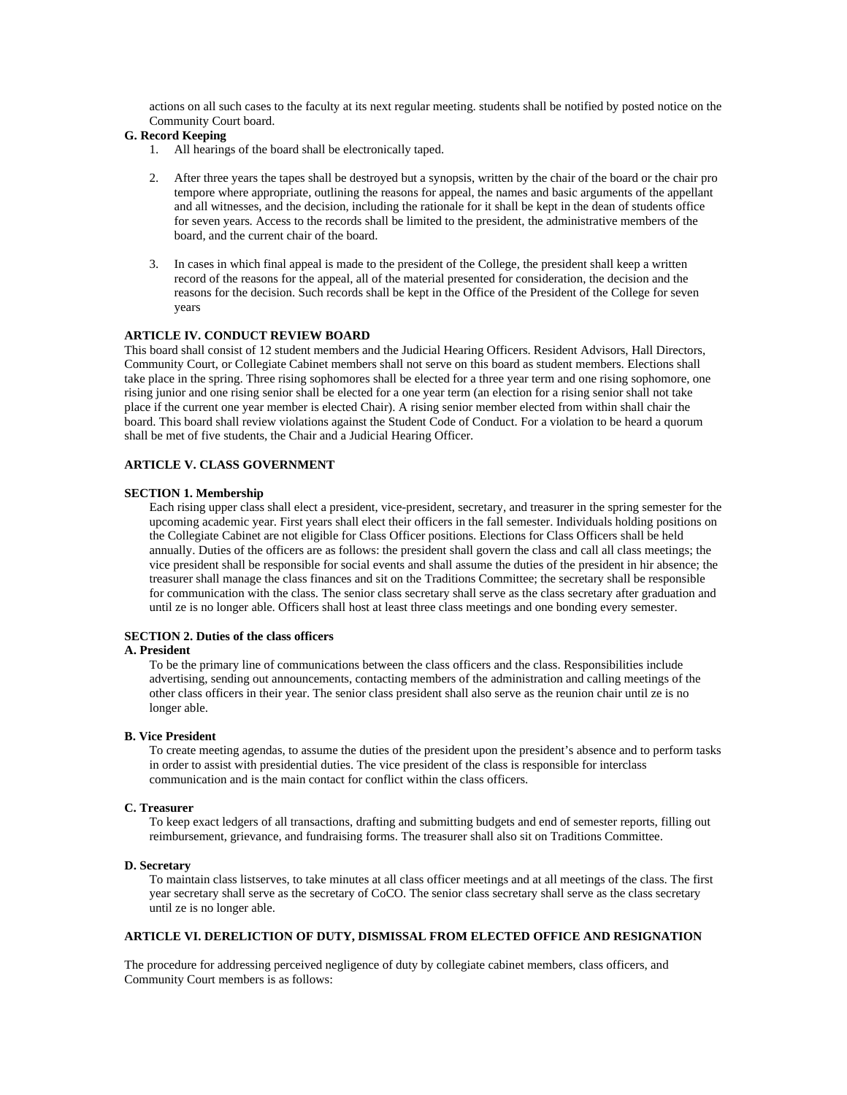actions on all such cases to the faculty at its next regular meeting. students shall be notified by posted notice on the Community Court board.

# **G. Record Keeping**

- 1. All hearings of the board shall be electronically taped.
- 2. After three years the tapes shall be destroyed but a synopsis, written by the chair of the board or the chair pro tempore where appropriate, outlining the reasons for appeal, the names and basic arguments of the appellant and all witnesses, and the decision, including the rationale for it shall be kept in the dean of students office for seven years. Access to the records shall be limited to the president, the administrative members of the board, and the current chair of the board.
- 3. In cases in which final appeal is made to the president of the College, the president shall keep a written record of the reasons for the appeal, all of the material presented for consideration, the decision and the reasons for the decision. Such records shall be kept in the Office of the President of the College for seven years

## **ARTICLE IV. CONDUCT REVIEW BOARD**

This board shall consist of 12 student members and the Judicial Hearing Officers. Resident Advisors, Hall Directors, Community Court, or Collegiate Cabinet members shall not serve on this board as student members. Elections shall take place in the spring. Three rising sophomores shall be elected for a three year term and one rising sophomore, one rising junior and one rising senior shall be elected for a one year term (an election for a rising senior shall not take place if the current one year member is elected Chair). A rising senior member elected from within shall chair the board. This board shall review violations against the Student Code of Conduct. For a violation to be heard a quorum shall be met of five students, the Chair and a Judicial Hearing Officer.

# **ARTICLE V. CLASS GOVERNMENT**

### **SECTION 1. Membership**

Each rising upper class shall elect a president, vice-president, secretary, and treasurer in the spring semester for the upcoming academic year. First years shall elect their officers in the fall semester. Individuals holding positions on the Collegiate Cabinet are not eligible for Class Officer positions. Elections for Class Officers shall be held annually. Duties of the officers are as follows: the president shall govern the class and call all class meetings; the vice president shall be responsible for social events and shall assume the duties of the president in hir absence; the treasurer shall manage the class finances and sit on the Traditions Committee; the secretary shall be responsible for communication with the class. The senior class secretary shall serve as the class secretary after graduation and until ze is no longer able. Officers shall host at least three class meetings and one bonding every semester.

# **SECTION 2. Duties of the class officers**

# **A. President**

To be the primary line of communications between the class officers and the class. Responsibilities include advertising, sending out announcements, contacting members of the administration and calling meetings of the other class officers in their year. The senior class president shall also serve as the reunion chair until ze is no longer able.

# **B. Vice President**

To create meeting agendas, to assume the duties of the president upon the president's absence and to perform tasks in order to assist with presidential duties. The vice president of the class is responsible for interclass communication and is the main contact for conflict within the class officers.

# **C. Treasurer**

To keep exact ledgers of all transactions, drafting and submitting budgets and end of semester reports, filling out reimbursement, grievance, and fundraising forms. The treasurer shall also sit on Traditions Committee.

# **D. Secretary**

To maintain class listserves, to take minutes at all class officer meetings and at all meetings of the class. The first year secretary shall serve as the secretary of CoCO. The senior class secretary shall serve as the class secretary until ze is no longer able.

# **ARTICLE VI. DERELICTION OF DUTY, DISMISSAL FROM ELECTED OFFICE AND RESIGNATION**

The procedure for addressing perceived negligence of duty by collegiate cabinet members, class officers, and Community Court members is as follows: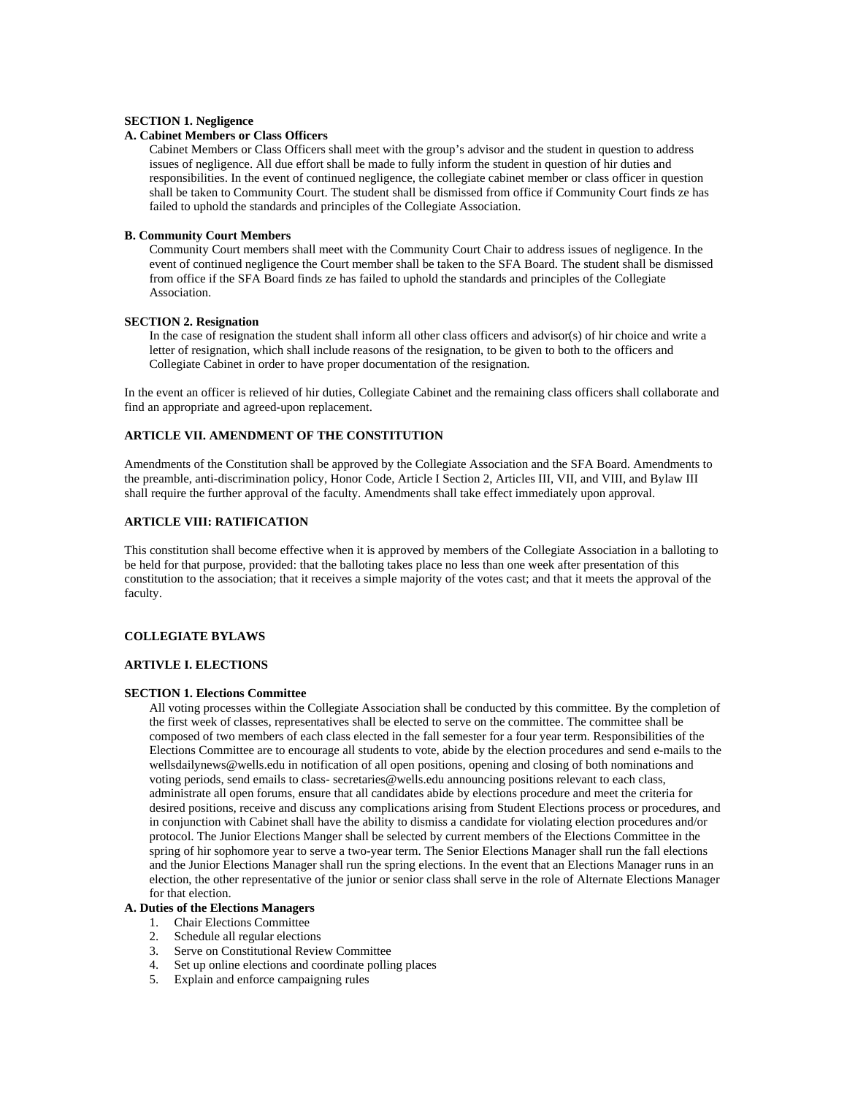# **SECTION 1. Negligence**

# **A. Cabinet Members or Class Officers**

Cabinet Members or Class Officers shall meet with the group's advisor and the student in question to address issues of negligence. All due effort shall be made to fully inform the student in question of hir duties and responsibilities. In the event of continued negligence, the collegiate cabinet member or class officer in question shall be taken to Community Court. The student shall be dismissed from office if Community Court finds ze has failed to uphold the standards and principles of the Collegiate Association.

### **B. Community Court Members**

Community Court members shall meet with the Community Court Chair to address issues of negligence. In the event of continued negligence the Court member shall be taken to the SFA Board. The student shall be dismissed from office if the SFA Board finds ze has failed to uphold the standards and principles of the Collegiate Association.

## **SECTION 2. Resignation**

In the case of resignation the student shall inform all other class officers and advisor(s) of hir choice and write a letter of resignation, which shall include reasons of the resignation, to be given to both to the officers and Collegiate Cabinet in order to have proper documentation of the resignation.

In the event an officer is relieved of hir duties, Collegiate Cabinet and the remaining class officers shall collaborate and find an appropriate and agreed-upon replacement.

# **ARTICLE VII. AMENDMENT OF THE CONSTITUTION**

Amendments of the Constitution shall be approved by the Collegiate Association and the SFA Board. Amendments to the preamble, anti-discrimination policy, Honor Code, Article I Section 2, Articles III, VII, and VIII, and Bylaw III shall require the further approval of the faculty. Amendments shall take effect immediately upon approval.

# **ARTICLE VIII: RATIFICATION**

This constitution shall become effective when it is approved by members of the Collegiate Association in a balloting to be held for that purpose, provided: that the balloting takes place no less than one week after presentation of this constitution to the association; that it receives a simple majority of the votes cast; and that it meets the approval of the faculty.

# **COLLEGIATE BYLAWS**

#### **ARTIVLE I. ELECTIONS**

#### **SECTION 1. Elections Committee**

All voting processes within the Collegiate Association shall be conducted by this committee. By the completion of the first week of classes, representatives shall be elected to serve on the committee. The committee shall be composed of two members of each class elected in the fall semester for a four year term. Responsibilities of the Elections Committee are to encourage all students to vote, abide by the election procedures and send e-mails to the wellsdailynews@wells.edu in notification of all open positions, opening and closing of both nominations and voting periods, send emails to class- secretaries@wells.edu announcing positions relevant to each class, administrate all open forums, ensure that all candidates abide by elections procedure and meet the criteria for desired positions, receive and discuss any complications arising from Student Elections process or procedures, and in conjunction with Cabinet shall have the ability to dismiss a candidate for violating election procedures and/or protocol. The Junior Elections Manger shall be selected by current members of the Elections Committee in the spring of hir sophomore year to serve a two-year term. The Senior Elections Manager shall run the fall elections and the Junior Elections Manager shall run the spring elections. In the event that an Elections Manager runs in an election, the other representative of the junior or senior class shall serve in the role of Alternate Elections Manager for that election.

# **A. Duties of the Elections Managers**

- 1. Chair Elections Committee
- 2. Schedule all regular elections
- 3. Serve on Constitutional Review Committee
- 4. Set up online elections and coordinate polling places
- 5. Explain and enforce campaigning rules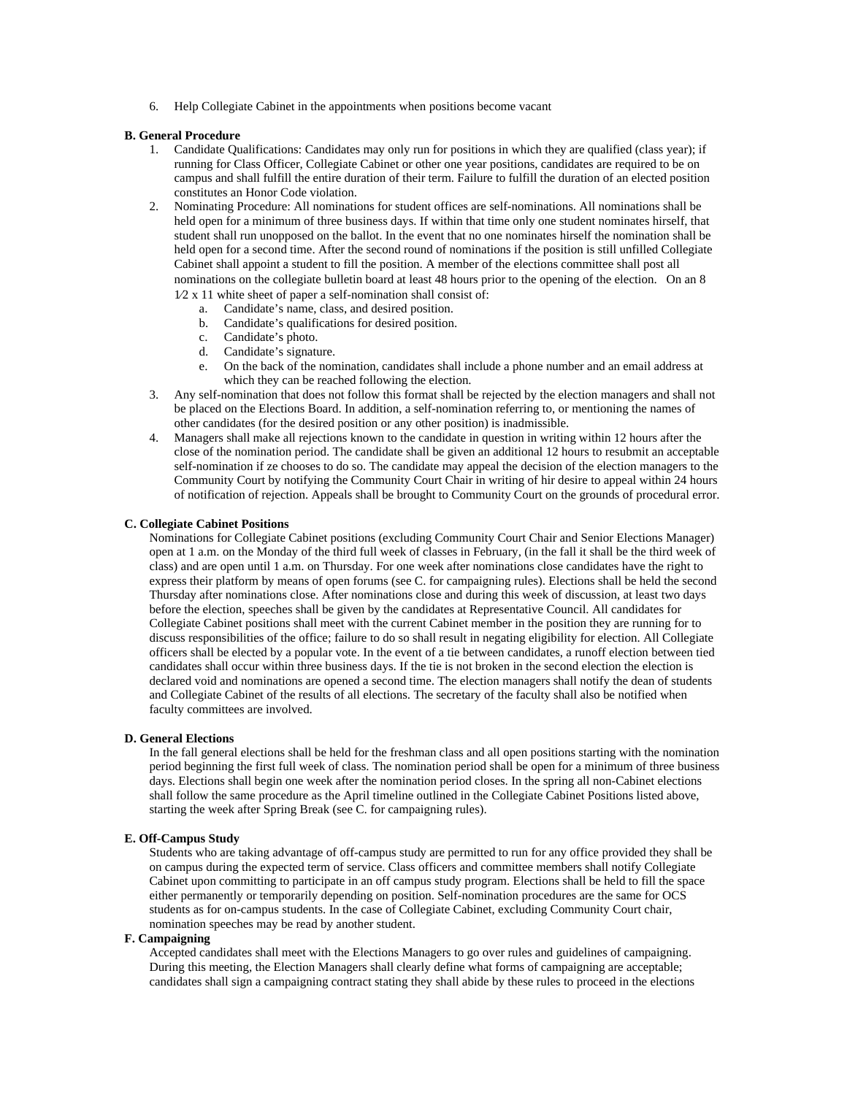6. Help Collegiate Cabinet in the appointments when positions become vacant

# **B. General Procedure**

- 1. Candidate Qualifications: Candidates may only run for positions in which they are qualified (class year); if running for Class Officer, Collegiate Cabinet or other one year positions, candidates are required to be on campus and shall fulfill the entire duration of their term. Failure to fulfill the duration of an elected position constitutes an Honor Code violation.
- 2. Nominating Procedure: All nominations for student offices are self-nominations. All nominations shall be held open for a minimum of three business days. If within that time only one student nominates hirself, that student shall run unopposed on the ballot. In the event that no one nominates hirself the nomination shall be held open for a second time. After the second round of nominations if the position is still unfilled Collegiate Cabinet shall appoint a student to fill the position. A member of the elections committee shall post all nominations on the collegiate bulletin board at least 48 hours prior to the opening of the election. On an 8 1⁄2 x 11 white sheet of paper a self-nomination shall consist of:
	- a. Candidate's name, class, and desired position.
	- b. Candidate's qualifications for desired position.
	- c. Candidate's photo.
	- d. Candidate's signature.
	- e. On the back of the nomination, candidates shall include a phone number and an email address at which they can be reached following the election.
- 3. Any self-nomination that does not follow this format shall be rejected by the election managers and shall not be placed on the Elections Board. In addition, a self-nomination referring to, or mentioning the names of other candidates (for the desired position or any other position) is inadmissible.
- 4. Managers shall make all rejections known to the candidate in question in writing within 12 hours after the close of the nomination period. The candidate shall be given an additional 12 hours to resubmit an acceptable self-nomination if ze chooses to do so. The candidate may appeal the decision of the election managers to the Community Court by notifying the Community Court Chair in writing of hir desire to appeal within 24 hours of notification of rejection. Appeals shall be brought to Community Court on the grounds of procedural error.

# **C. Collegiate Cabinet Positions**

Nominations for Collegiate Cabinet positions (excluding Community Court Chair and Senior Elections Manager) open at 1 a.m. on the Monday of the third full week of classes in February, (in the fall it shall be the third week of class) and are open until 1 a.m. on Thursday. For one week after nominations close candidates have the right to express their platform by means of open forums (see C. for campaigning rules). Elections shall be held the second Thursday after nominations close. After nominations close and during this week of discussion, at least two days before the election, speeches shall be given by the candidates at Representative Council. All candidates for Collegiate Cabinet positions shall meet with the current Cabinet member in the position they are running for to discuss responsibilities of the office; failure to do so shall result in negating eligibility for election. All Collegiate officers shall be elected by a popular vote. In the event of a tie between candidates, a runoff election between tied candidates shall occur within three business days. If the tie is not broken in the second election the election is declared void and nominations are opened a second time. The election managers shall notify the dean of students and Collegiate Cabinet of the results of all elections. The secretary of the faculty shall also be notified when faculty committees are involved.

# **D. General Elections**

In the fall general elections shall be held for the freshman class and all open positions starting with the nomination period beginning the first full week of class. The nomination period shall be open for a minimum of three business days. Elections shall begin one week after the nomination period closes. In the spring all non-Cabinet elections shall follow the same procedure as the April timeline outlined in the Collegiate Cabinet Positions listed above, starting the week after Spring Break (see C. for campaigning rules).

#### **E. Off-Campus Study**

Students who are taking advantage of off-campus study are permitted to run for any office provided they shall be on campus during the expected term of service. Class officers and committee members shall notify Collegiate Cabinet upon committing to participate in an off campus study program. Elections shall be held to fill the space either permanently or temporarily depending on position. Self-nomination procedures are the same for OCS students as for on-campus students. In the case of Collegiate Cabinet, excluding Community Court chair, nomination speeches may be read by another student.

# **F. Campaigning**

Accepted candidates shall meet with the Elections Managers to go over rules and guidelines of campaigning. During this meeting, the Election Managers shall clearly define what forms of campaigning are acceptable; candidates shall sign a campaigning contract stating they shall abide by these rules to proceed in the elections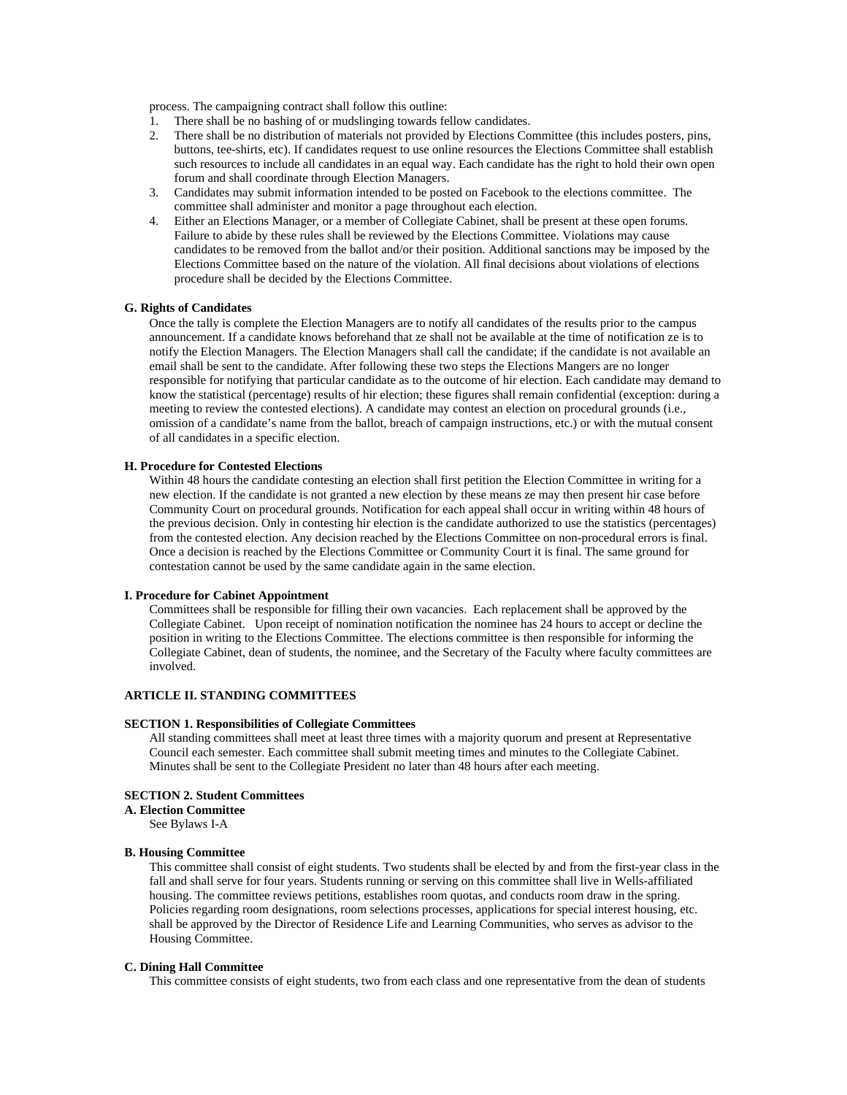process. The campaigning contract shall follow this outline:

- 1. There shall be no bashing of or mudslinging towards fellow candidates.
- 2. There shall be no distribution of materials not provided by Elections Committee (this includes posters, pins, buttons, tee-shirts, etc). If candidates request to use online resources the Elections Committee shall establish such resources to include all candidates in an equal way. Each candidate has the right to hold their own open forum and shall coordinate through Election Managers.
- 3. Candidates may submit information intended to be posted on Facebook to the elections committee. The committee shall administer and monitor a page throughout each election.
- 4. Either an Elections Manager, or a member of Collegiate Cabinet, shall be present at these open forums. Failure to abide by these rules shall be reviewed by the Elections Committee. Violations may cause candidates to be removed from the ballot and/or their position. Additional sanctions may be imposed by the Elections Committee based on the nature of the violation. All final decisions about violations of elections procedure shall be decided by the Elections Committee.

#### **G. Rights of Candidates**

Once the tally is complete the Election Managers are to notify all candidates of the results prior to the campus announcement. If a candidate knows beforehand that ze shall not be available at the time of notification ze is to notify the Election Managers. The Election Managers shall call the candidate; if the candidate is not available an email shall be sent to the candidate. After following these two steps the Elections Mangers are no longer responsible for notifying that particular candidate as to the outcome of hir election. Each candidate may demand to know the statistical (percentage) results of hir election; these figures shall remain confidential (exception: during a meeting to review the contested elections). A candidate may contest an election on procedural grounds (i.e., omission of a candidate's name from the ballot, breach of campaign instructions, etc.) or with the mutual consent of all candidates in a specific election.

#### **H. Procedure for Contested Elections**

Within 48 hours the candidate contesting an election shall first petition the Election Committee in writing for a new election. If the candidate is not granted a new election by these means ze may then present hir case before Community Court on procedural grounds. Notification for each appeal shall occur in writing within 48 hours of the previous decision. Only in contesting hir election is the candidate authorized to use the statistics (percentages) from the contested election. Any decision reached by the Elections Committee on non-procedural errors is final. Once a decision is reached by the Elections Committee or Community Court it is final. The same ground for contestation cannot be used by the same candidate again in the same election.

#### **I. Procedure for Cabinet Appointment**

Committees shall be responsible for filling their own vacancies. Each replacement shall be approved by the Collegiate Cabinet. Upon receipt of nomination notification the nominee has 24 hours to accept or decline the position in writing to the Elections Committee. The elections committee is then responsible for informing the Collegiate Cabinet, dean of students, the nominee, and the Secretary of the Faculty where faculty committees are involved.

# **ARTICLE II. STANDING COMMITTEES**

## **SECTION 1. Responsibilities of Collegiate Committees**

All standing committees shall meet at least three times with a majority quorum and present at Representative Council each semester. Each committee shall submit meeting times and minutes to the Collegiate Cabinet. Minutes shall be sent to the Collegiate President no later than 48 hours after each meeting.

#### **SECTION 2. Student Committees**

# **A. Election Committee**

See Bylaws I-A

# **B. Housing Committee**

This committee shall consist of eight students. Two students shall be elected by and from the first-year class in the fall and shall serve for four years. Students running or serving on this committee shall live in Wells-affiliated housing. The committee reviews petitions, establishes room quotas, and conducts room draw in the spring. Policies regarding room designations, room selections processes, applications for special interest housing, etc. shall be approved by the Director of Residence Life and Learning Communities, who serves as advisor to the Housing Committee.

# **C. Dining Hall Committee**

This committee consists of eight students, two from each class and one representative from the dean of students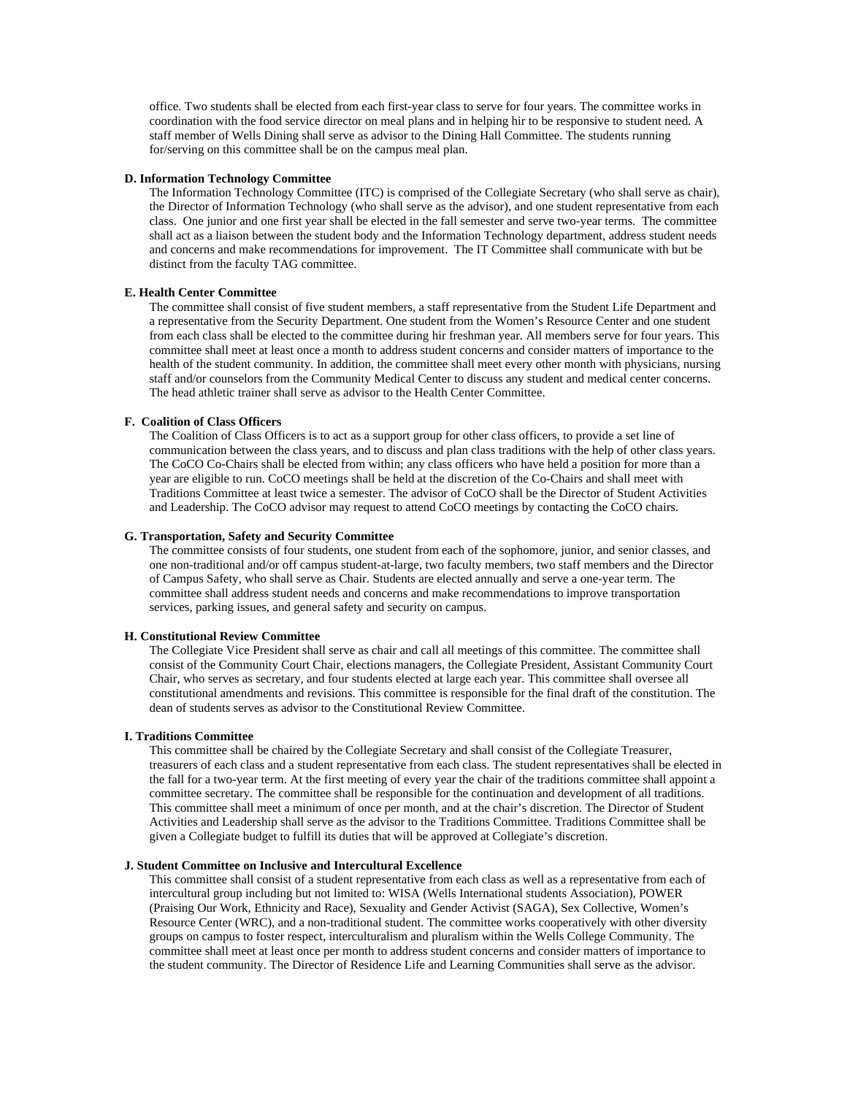office. Two students shall be elected from each first-year class to serve for four years. The committee works in coordination with the food service director on meal plans and in helping hir to be responsive to student need. A staff member of Wells Dining shall serve as advisor to the Dining Hall Committee. The students running for/serving on this committee shall be on the campus meal plan.

#### **D. Information Technology Committee**

The Information Technology Committee (ITC) is comprised of the Collegiate Secretary (who shall serve as chair), the Director of Information Technology (who shall serve as the advisor), and one student representative from each class. One junior and one first year shall be elected in the fall semester and serve two-year terms. The committee shall act as a liaison between the student body and the Information Technology department, address student needs and concerns and make recommendations for improvement. The IT Committee shall communicate with but be distinct from the faculty TAG committee.

#### **E. Health Center Committee**

The committee shall consist of five student members, a staff representative from the Student Life Department and a representative from the Security Department. One student from the Women's Resource Center and one student from each class shall be elected to the committee during hir freshman year. All members serve for four years. This committee shall meet at least once a month to address student concerns and consider matters of importance to the health of the student community. In addition, the committee shall meet every other month with physicians, nursing staff and/or counselors from the Community Medical Center to discuss any student and medical center concerns. The head athletic trainer shall serve as advisor to the Health Center Committee.

# **F. Coalition of Class Officers**

The Coalition of Class Officers is to act as a support group for other class officers, to provide a set line of communication between the class years, and to discuss and plan class traditions with the help of other class years. The CoCO Co-Chairs shall be elected from within; any class officers who have held a position for more than a year are eligible to run. CoCO meetings shall be held at the discretion of the Co-Chairs and shall meet with Traditions Committee at least twice a semester. The advisor of CoCO shall be the Director of Student Activities and Leadership. The CoCO advisor may request to attend CoCO meetings by contacting the CoCO chairs.

#### **G. Transportation, Safety and Security Committee**

The committee consists of four students, one student from each of the sophomore, junior, and senior classes, and one non-traditional and/or off campus student-at-large, two faculty members, two staff members and the Director of Campus Safety, who shall serve as Chair. Students are elected annually and serve a one-year term. The committee shall address student needs and concerns and make recommendations to improve transportation services, parking issues, and general safety and security on campus.

# **H. Constitutional Review Committee**

The Collegiate Vice President shall serve as chair and call all meetings of this committee. The committee shall consist of the Community Court Chair, elections managers, the Collegiate President, Assistant Community Court Chair, who serves as secretary, and four students elected at large each year. This committee shall oversee all constitutional amendments and revisions. This committee is responsible for the final draft of the constitution. The dean of students serves as advisor to the Constitutional Review Committee.

# **I. Traditions Committee**

This committee shall be chaired by the Collegiate Secretary and shall consist of the Collegiate Treasurer, treasurers of each class and a student representative from each class. The student representatives shall be elected in the fall for a two-year term. At the first meeting of every year the chair of the traditions committee shall appoint a committee secretary. The committee shall be responsible for the continuation and development of all traditions. This committee shall meet a minimum of once per month, and at the chair's discretion. The Director of Student Activities and Leadership shall serve as the advisor to the Traditions Committee. Traditions Committee shall be given a Collegiate budget to fulfill its duties that will be approved at Collegiate's discretion.

# **J. Student Committee on Inclusive and Intercultural Excellence**

This committee shall consist of a student representative from each class as well as a representative from each of intercultural group including but not limited to: WISA (Wells International students Association), POWER (Praising Our Work, Ethnicity and Race), Sexuality and Gender Activist (SAGA), Sex Collective, Women's Resource Center (WRC), and a non-traditional student. The committee works cooperatively with other diversity groups on campus to foster respect, interculturalism and pluralism within the Wells College Community. The committee shall meet at least once per month to address student concerns and consider matters of importance to the student community. The Director of Residence Life and Learning Communities shall serve as the advisor.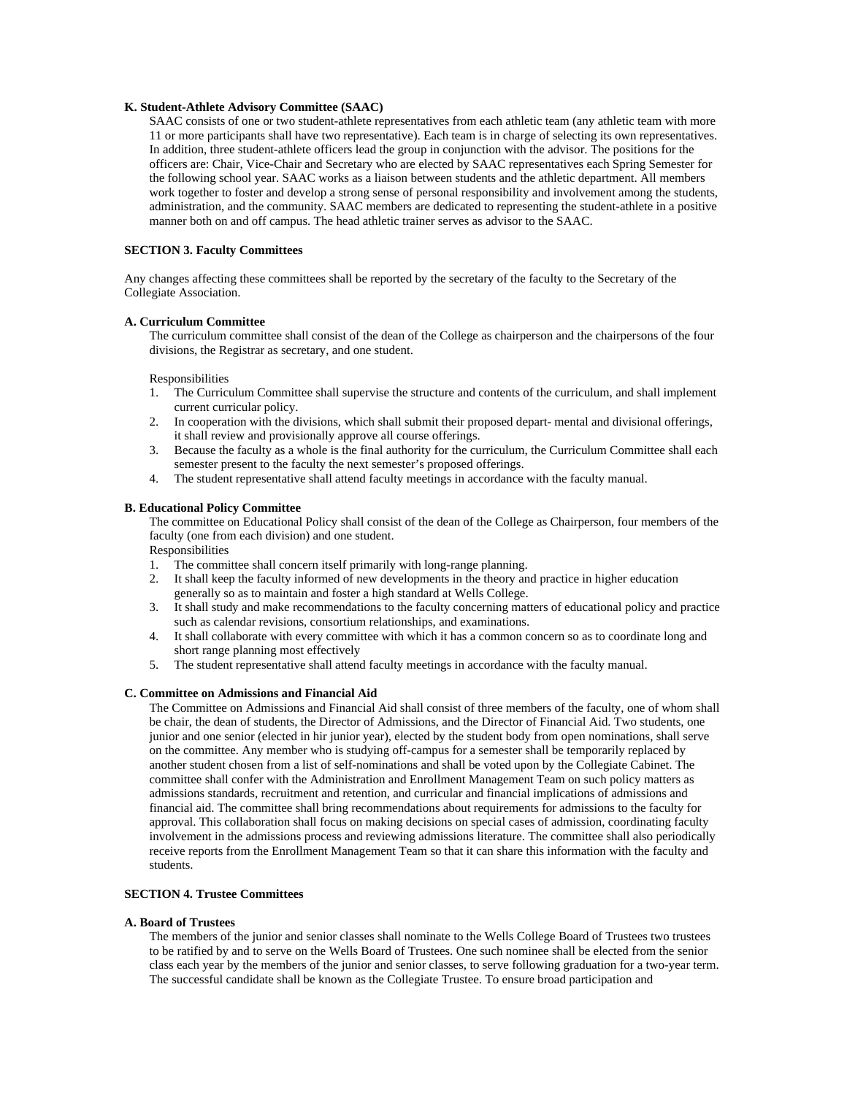# **K. Student-Athlete Advisory Committee (SAAC)**

SAAC consists of one or two student-athlete representatives from each athletic team (any athletic team with more 11 or more participants shall have two representative). Each team is in charge of selecting its own representatives. In addition, three student-athlete officers lead the group in conjunction with the advisor. The positions for the officers are: Chair, Vice-Chair and Secretary who are elected by SAAC representatives each Spring Semester for the following school year. SAAC works as a liaison between students and the athletic department. All members work together to foster and develop a strong sense of personal responsibility and involvement among the students, administration, and the community. SAAC members are dedicated to representing the student-athlete in a positive manner both on and off campus. The head athletic trainer serves as advisor to the SAAC.

# **SECTION 3. Faculty Committees**

Any changes affecting these committees shall be reported by the secretary of the faculty to the Secretary of the Collegiate Association.

# **A. Curriculum Committee**

The curriculum committee shall consist of the dean of the College as chairperson and the chairpersons of the four divisions, the Registrar as secretary, and one student.

#### Responsibilities

- 1. The Curriculum Committee shall supervise the structure and contents of the curriculum, and shall implement current curricular policy.
- 2. In cooperation with the divisions, which shall submit their proposed depart- mental and divisional offerings, it shall review and provisionally approve all course offerings.
- 3. Because the faculty as a whole is the final authority for the curriculum, the Curriculum Committee shall each semester present to the faculty the next semester's proposed offerings.
- 4. The student representative shall attend faculty meetings in accordance with the faculty manual.

# **B. Educational Policy Committee**

The committee on Educational Policy shall consist of the dean of the College as Chairperson, four members of the faculty (one from each division) and one student.

Responsibilities

- 1. The committee shall concern itself primarily with long-range planning.
- 2. It shall keep the faculty informed of new developments in the theory and practice in higher education generally so as to maintain and foster a high standard at Wells College.
- 3. It shall study and make recommendations to the faculty concerning matters of educational policy and practice such as calendar revisions, consortium relationships, and examinations.
- 4. It shall collaborate with every committee with which it has a common concern so as to coordinate long and short range planning most effectively
- 5. The student representative shall attend faculty meetings in accordance with the faculty manual.

# **C. Committee on Admissions and Financial Aid**

The Committee on Admissions and Financial Aid shall consist of three members of the faculty, one of whom shall be chair, the dean of students, the Director of Admissions, and the Director of Financial Aid. Two students, one junior and one senior (elected in hir junior year), elected by the student body from open nominations, shall serve on the committee. Any member who is studying off-campus for a semester shall be temporarily replaced by another student chosen from a list of self-nominations and shall be voted upon by the Collegiate Cabinet. The committee shall confer with the Administration and Enrollment Management Team on such policy matters as admissions standards, recruitment and retention, and curricular and financial implications of admissions and financial aid. The committee shall bring recommendations about requirements for admissions to the faculty for approval. This collaboration shall focus on making decisions on special cases of admission, coordinating faculty involvement in the admissions process and reviewing admissions literature. The committee shall also periodically receive reports from the Enrollment Management Team so that it can share this information with the faculty and students.

### **SECTION 4. Trustee Committees**

#### **A. Board of Trustees**

The members of the junior and senior classes shall nominate to the Wells College Board of Trustees two trustees to be ratified by and to serve on the Wells Board of Trustees. One such nominee shall be elected from the senior class each year by the members of the junior and senior classes, to serve following graduation for a two-year term. The successful candidate shall be known as the Collegiate Trustee. To ensure broad participation and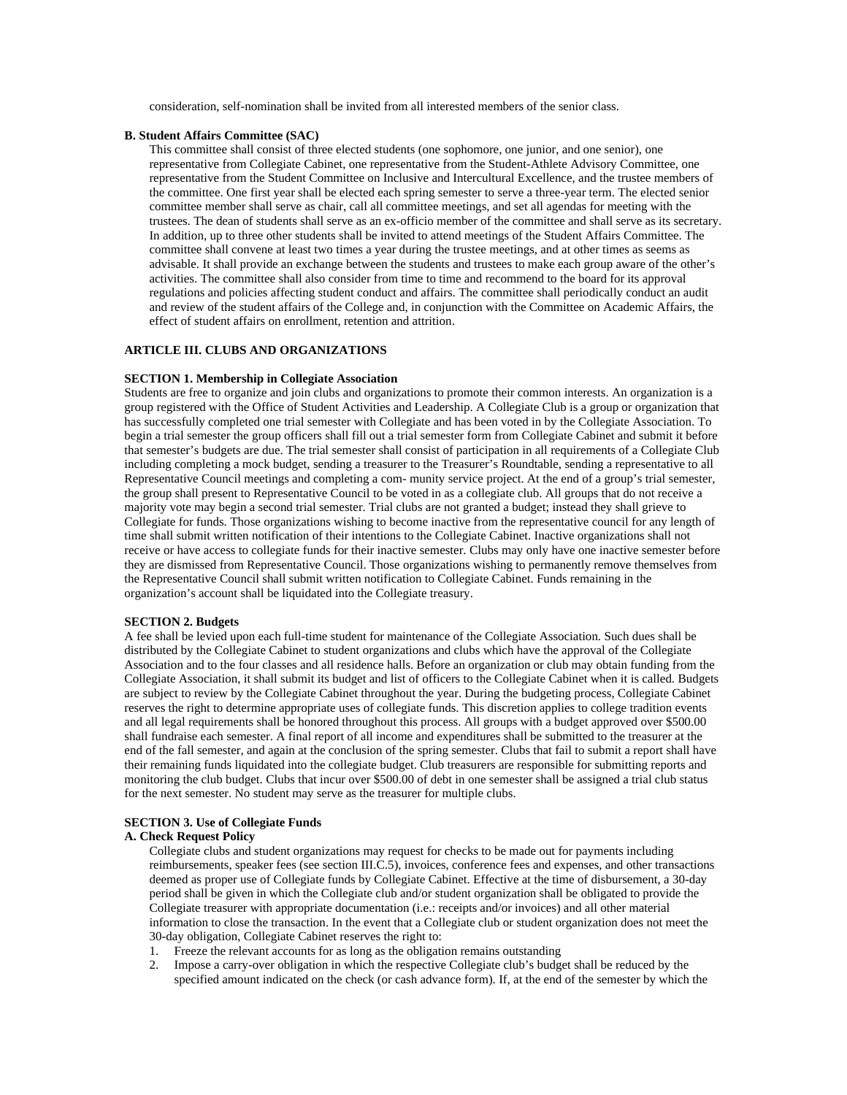consideration, self-nomination shall be invited from all interested members of the senior class.

#### **B. Student Affairs Committee (SAC)**

This committee shall consist of three elected students (one sophomore, one junior, and one senior), one representative from Collegiate Cabinet, one representative from the Student-Athlete Advisory Committee, one representative from the Student Committee on Inclusive and Intercultural Excellence, and the trustee members of the committee. One first year shall be elected each spring semester to serve a three-year term. The elected senior committee member shall serve as chair, call all committee meetings, and set all agendas for meeting with the trustees. The dean of students shall serve as an ex-officio member of the committee and shall serve as its secretary. In addition, up to three other students shall be invited to attend meetings of the Student Affairs Committee. The committee shall convene at least two times a year during the trustee meetings, and at other times as seems as advisable. It shall provide an exchange between the students and trustees to make each group aware of the other's activities. The committee shall also consider from time to time and recommend to the board for its approval regulations and policies affecting student conduct and affairs. The committee shall periodically conduct an audit and review of the student affairs of the College and, in conjunction with the Committee on Academic Affairs, the effect of student affairs on enrollment, retention and attrition.

# **ARTICLE III. CLUBS AND ORGANIZATIONS**

# **SECTION 1. Membership in Collegiate Association**

Students are free to organize and join clubs and organizations to promote their common interests. An organization is a group registered with the Office of Student Activities and Leadership. A Collegiate Club is a group or organization that has successfully completed one trial semester with Collegiate and has been voted in by the Collegiate Association. To begin a trial semester the group officers shall fill out a trial semester form from Collegiate Cabinet and submit it before that semester's budgets are due. The trial semester shall consist of participation in all requirements of a Collegiate Club including completing a mock budget, sending a treasurer to the Treasurer's Roundtable, sending a representative to all Representative Council meetings and completing a com- munity service project. At the end of a group's trial semester, the group shall present to Representative Council to be voted in as a collegiate club. All groups that do not receive a majority vote may begin a second trial semester. Trial clubs are not granted a budget; instead they shall grieve to Collegiate for funds. Those organizations wishing to become inactive from the representative council for any length of time shall submit written notification of their intentions to the Collegiate Cabinet. Inactive organizations shall not receive or have access to collegiate funds for their inactive semester. Clubs may only have one inactive semester before they are dismissed from Representative Council. Those organizations wishing to permanently remove themselves from the Representative Council shall submit written notification to Collegiate Cabinet. Funds remaining in the organization's account shall be liquidated into the Collegiate treasury.

### **SECTION 2. Budgets**

A fee shall be levied upon each full-time student for maintenance of the Collegiate Association. Such dues shall be distributed by the Collegiate Cabinet to student organizations and clubs which have the approval of the Collegiate Association and to the four classes and all residence halls. Before an organization or club may obtain funding from the Collegiate Association, it shall submit its budget and list of officers to the Collegiate Cabinet when it is called. Budgets are subject to review by the Collegiate Cabinet throughout the year. During the budgeting process, Collegiate Cabinet reserves the right to determine appropriate uses of collegiate funds. This discretion applies to college tradition events and all legal requirements shall be honored throughout this process. All groups with a budget approved over \$500.00 shall fundraise each semester. A final report of all income and expenditures shall be submitted to the treasurer at the end of the fall semester, and again at the conclusion of the spring semester. Clubs that fail to submit a report shall have their remaining funds liquidated into the collegiate budget. Club treasurers are responsible for submitting reports and monitoring the club budget. Clubs that incur over \$500.00 of debt in one semester shall be assigned a trial club status for the next semester. No student may serve as the treasurer for multiple clubs.

#### **SECTION 3. Use of Collegiate Funds**

## **A. Check Request Policy**

Collegiate clubs and student organizations may request for checks to be made out for payments including reimbursements, speaker fees (see section III.C.5), invoices, conference fees and expenses, and other transactions deemed as proper use of Collegiate funds by Collegiate Cabinet. Effective at the time of disbursement, a 30-day period shall be given in which the Collegiate club and/or student organization shall be obligated to provide the Collegiate treasurer with appropriate documentation (i.e.: receipts and/or invoices) and all other material information to close the transaction. In the event that a Collegiate club or student organization does not meet the 30-day obligation, Collegiate Cabinet reserves the right to:

- 1. Freeze the relevant accounts for as long as the obligation remains outstanding
- 2. Impose a carry-over obligation in which the respective Collegiate club's budget shall be reduced by the specified amount indicated on the check (or cash advance form). If, at the end of the semester by which the